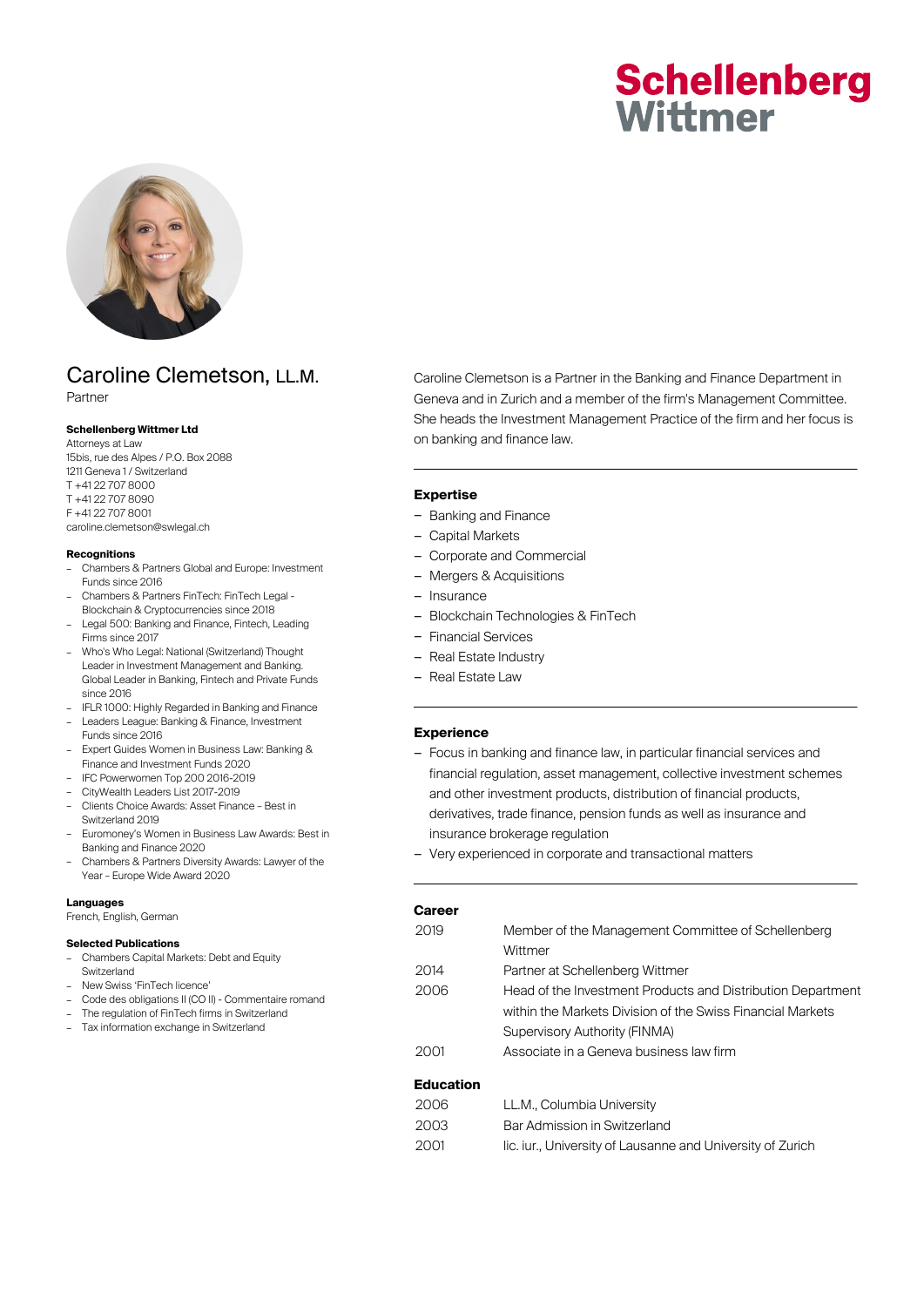# **Schellenberg** Wittmer



## Caroline Clemetson, LL.M. Partner

**Schellenberg Wittmer Ltd** Attorneys at Law 15bis, rue des Alpes / P.O. Box 2088 1211 Geneva 1 / Switzerland T +41 22 707 8000 T +41 22 707 8090 F +41 22 707 8001

caroline.clemetson@swlegal.ch

#### **Recognitions**

- Chambers & Partners Global and Europe: Investment Funds since 2016
- Chambers & Partners FinTech: FinTech Legal Blockchain & Cryptocurrencies since 2018
- Legal 500: Banking and Finance, Fintech, Leading Firms since 2017
- Who's Who Legal: National (Switzerland) Thought Leader in Investment Management and Banking. Global Leader in Banking, Fintech and Private Funds since 2016
- IFLR 1000: Highly Regarded in Banking and Finance – Leaders League: Banking & Finance, Investment
- Funds since 2016
- Expert Guides Women in Business Law: Banking & Finance and Investment Funds 2020
- IFC Powerwomen Top 200 2016-2019
- CityWealth Leaders List 2017-2019
- Clients Choice Awards: Asset Finance Best in Switzerland 2019
- Euromoney's Women in Business Law Awards: Best in Banking and Finance 2020
- Chambers & Partners Diversity Awards: Lawyer of the Year – Europe Wide Award 2020

#### **Languages**

French, English, German

#### **Selected Publications**

- Chambers Capital Markets: Debt and Equity Switzerland
- New Swiss 'FinTech licence'
- Code des obligations II (CO II) Commentaire romand
- The regulation of FinTech firms in Switzerland
- Tax information exchange in Switzerland

Caroline Clemetson is a Partner in the Banking and Finance Department in Geneva and in Zurich and a member of the firm's Management Committee. She heads the Investment Management Practice of the firm and her focus is on banking and finance law.

#### **Expertise**

- Banking and Finance
- Capital Markets
- Corporate and Commercial
- Mergers & Acquisitions
- Insurance
- Blockchain Technologies & FinTech
- Financial Services
- Real Estate Industry
- Real Estate Law

#### **Experience**

- Focus in banking and finance law, in particular financial services and financial regulation, asset management, collective investment schemes and other investment products, distribution of financial products, derivatives, trade finance, pension funds as well as insurance and insurance brokerage regulation
- Very experienced in corporate and transactional matters

| Career                |                                                                                                                                                                                                                                                                                                                                                                                                                                                                                            |
|-----------------------|--------------------------------------------------------------------------------------------------------------------------------------------------------------------------------------------------------------------------------------------------------------------------------------------------------------------------------------------------------------------------------------------------------------------------------------------------------------------------------------------|
| 2019                  | Member of the Management Committee of Schellenberg                                                                                                                                                                                                                                                                                                                                                                                                                                         |
|                       | Wittmer                                                                                                                                                                                                                                                                                                                                                                                                                                                                                    |
| 2014                  | Partner at Schellenberg Wittmer                                                                                                                                                                                                                                                                                                                                                                                                                                                            |
| 2006                  | Head of the Investment Products and Distribution Department                                                                                                                                                                                                                                                                                                                                                                                                                                |
|                       | within the Markets Division of the Swiss Financial Markets                                                                                                                                                                                                                                                                                                                                                                                                                                 |
|                       | Supervisory Authority (FINMA)                                                                                                                                                                                                                                                                                                                                                                                                                                                              |
| 2001                  | Associate in a Geneva business law firm                                                                                                                                                                                                                                                                                                                                                                                                                                                    |
| <b>Education</b>      |                                                                                                                                                                                                                                                                                                                                                                                                                                                                                            |
| $\cap \cap \cap \cap$ | $\blacksquare$ $\blacksquare$ $\blacksquare$ $\blacksquare$ $\blacksquare$ $\blacksquare$ $\blacksquare$ $\blacksquare$ $\blacksquare$ $\blacksquare$ $\blacksquare$ $\blacksquare$ $\blacksquare$ $\blacksquare$ $\blacksquare$ $\blacksquare$ $\blacksquare$ $\blacksquare$ $\blacksquare$ $\blacksquare$ $\blacksquare$ $\blacksquare$ $\blacksquare$ $\blacksquare$ $\blacksquare$ $\blacksquare$ $\blacksquare$ $\blacksquare$ $\blacksquare$ $\blacksquare$ $\blacksquare$ $\blacks$ |

| 2006                 | LL.M., Columbia University   |  |
|----------------------|------------------------------|--|
| 2003                 | Bar Admission in Switzerland |  |
| $\sim$ $\sim$ $\sim$ |                              |  |

2001 lic. iur., University of Lausanne and University of Zurich